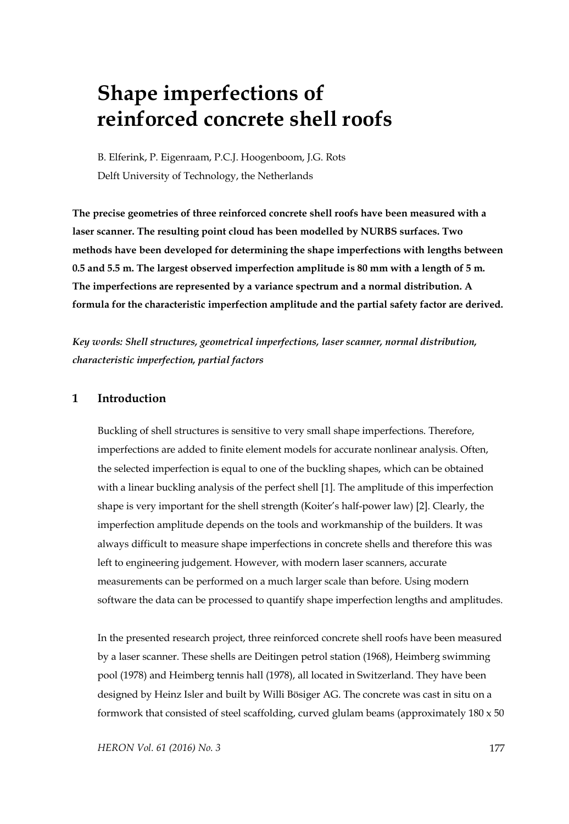# **Shape imperfections of reinforced concrete shell roofs**

B. Elferink, P. Eigenraam, P.C.J. Hoogenboom, J.G. Rots Delft University of Technology, the Netherlands

**The precise geometries of three reinforced concrete shell roofs have been measured with a laser scanner. The resulting point cloud has been modelled by NURBS surfaces. Two methods have been developed for determining the shape imperfections with lengths between 0.5 and 5.5 m. The largest observed imperfection amplitude is 80 mm with a length of 5 m. The imperfections are represented by a variance spectrum and a normal distribution. A formula for the characteristic imperfection amplitude and the partial safety factor are derived.** 

*Key words: Shell structures, geometrical imperfections, laser scanner, normal distribution, characteristic imperfection, partial factors* 

#### **1 Introduction**

Buckling of shell structures is sensitive to very small shape imperfections. Therefore, imperfections are added to finite element models for accurate nonlinear analysis. Often, the selected imperfection is equal to one of the buckling shapes, which can be obtained with a linear buckling analysis of the perfect shell [1]. The amplitude of this imperfection shape is very important for the shell strength (Koiter's half-power law) [2]. Clearly, the imperfection amplitude depends on the tools and workmanship of the builders. It was always difficult to measure shape imperfections in concrete shells and therefore this was left to engineering judgement. However, with modern laser scanners, accurate measurements can be performed on a much larger scale than before. Using modern software the data can be processed to quantify shape imperfection lengths and amplitudes.

In the presented research project, three reinforced concrete shell roofs have been measured by a laser scanner. These shells are Deitingen petrol station (1968), Heimberg swimming pool (1978) and Heimberg tennis hall (1978), all located in Switzerland. They have been designed by Heinz Isler and built by Willi Bösiger AG. The concrete was cast in situ on a formwork that consisted of steel scaffolding, curved glulam beams (approximately  $180 \times 50$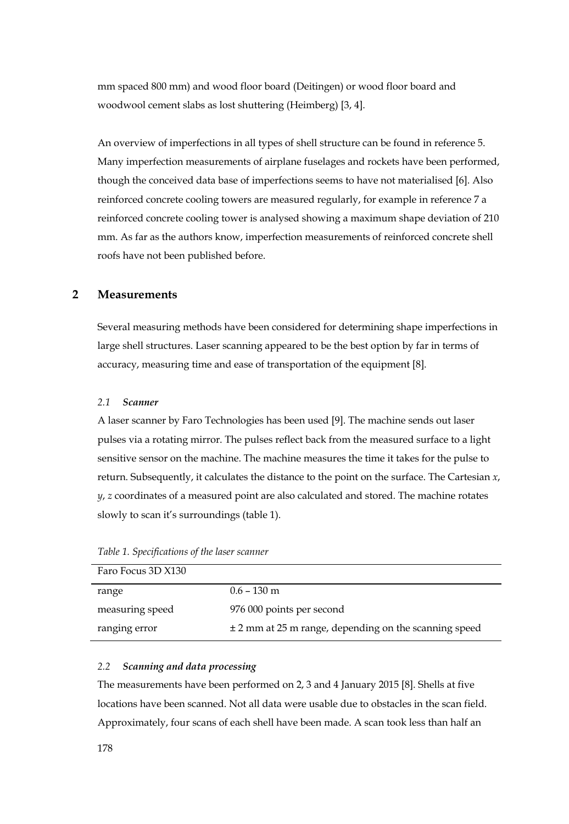mm spaced 800 mm) and wood floor board (Deitingen) or wood floor board and woodwool cement slabs as lost shuttering (Heimberg) [3, 4].

An overview of imperfections in all types of shell structure can be found in reference 5. Many imperfection measurements of airplane fuselages and rockets have been performed, though the conceived data base of imperfections seems to have not materialised [6]. Also reinforced concrete cooling towers are measured regularly, for example in reference 7 a reinforced concrete cooling tower is analysed showing a maximum shape deviation of 210 mm. As far as the authors know, imperfection measurements of reinforced concrete shell roofs have not been published before.

#### **2 Measurements**

Several measuring methods have been considered for determining shape imperfections in large shell structures. Laser scanning appeared to be the best option by far in terms of accuracy, measuring time and ease of transportation of the equipment [8].

#### *2.1 Scanner*

A laser scanner by Faro Technologies has been used [9]. The machine sends out laser pulses via a rotating mirror. The pulses reflect back from the measured surface to a light sensitive sensor on the machine. The machine measures the time it takes for the pulse to return. Subsequently, it calculates the distance to the point on the surface. The Cartesian *x*, *y*, *z* coordinates of a measured point are also calculated and stored. The machine rotates slowly to scan it's surroundings (table 1).

| Faro Focus 3D X130 |                                                       |
|--------------------|-------------------------------------------------------|
| range              | $0.6 - 130$ m                                         |
| measuring speed    | 976 000 points per second                             |
| ranging error      | ± 2 mm at 25 m range, depending on the scanning speed |

*Table 1. Specifications of the laser scanner* 

#### *2.2 Scanning and data processing*

The measurements have been performed on 2, 3 and 4 January 2015 [8]. Shells at five locations have been scanned. Not all data were usable due to obstacles in the scan field. Approximately, four scans of each shell have been made. A scan took less than half an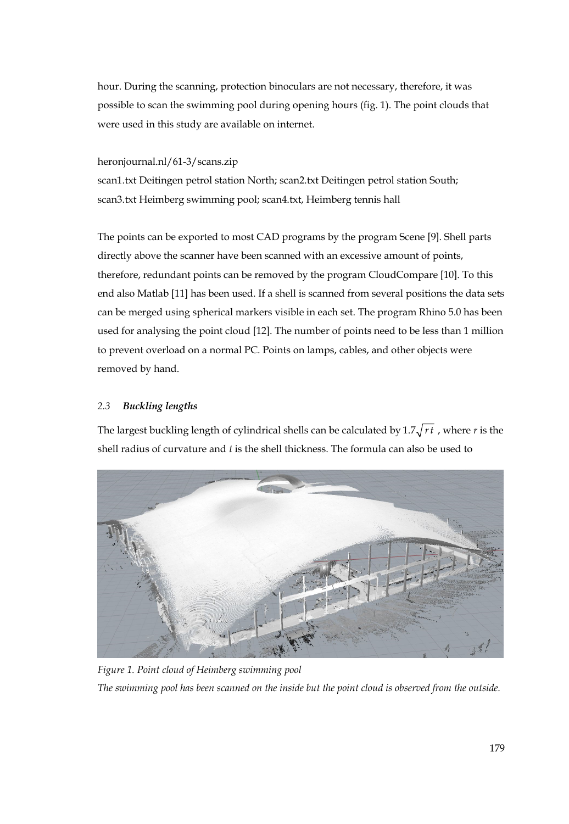hour. During the scanning, protection binoculars are not necessary, therefore, it was possible to scan the swimming pool during opening hours (fig. 1). The point clouds that were used in this study are available on internet.

#### heronjournal.nl/61-3/scans.zip

scan1.txt Deitingen petrol station North; scan2.txt Deitingen petrol station South; scan3.txt Heimberg swimming pool; scan4.txt, Heimberg tennis hall

The points can be exported to most CAD programs by the program Scene [9]. Shell parts directly above the scanner have been scanned with an excessive amount of points, therefore, redundant points can be removed by the program CloudCompare [10]. To this end also Matlab [11] has been used. If a shell is scanned from several positions the data sets can be merged using spherical markers visible in each set. The program Rhino 5.0 has been used for analysing the point cloud [12]. The number of points need to be less than 1 million to prevent overload on a normal PC. Points on lamps, cables, and other objects were removed by hand.

## *2.3 Buckling lengths*

The largest buckling length of cylindrical shells can be calculated by  $1.7\sqrt{rt}$  , where *r* is the shell radius of curvature and *t* is the shell thickness. The formula can also be used to



*Figure 1. Point cloud of Heimberg swimming pool The swimming pool has been scanned on the inside but the point cloud is observed from the outside.*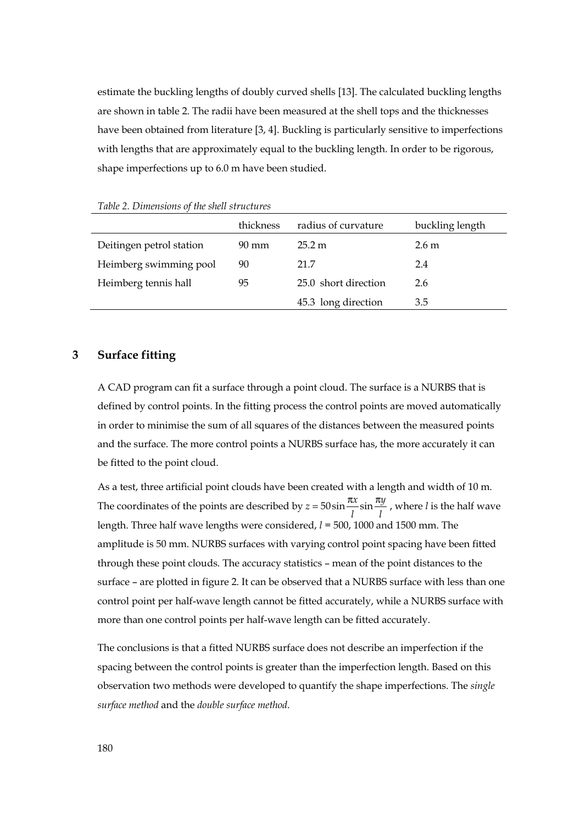estimate the buckling lengths of doubly curved shells [13]. The calculated buckling lengths are shown in table 2. The radii have been measured at the shell tops and the thicknesses have been obtained from literature [3, 4]. Buckling is particularly sensitive to imperfections with lengths that are approximately equal to the buckling length. In order to be rigorous, shape imperfections up to 6.0 m have been studied.

|                          | thickness       | radius of curvature  | buckling length  |
|--------------------------|-----------------|----------------------|------------------|
| Deitingen petrol station | $90 \text{ mm}$ | 25.2 m               | 2.6 <sub>m</sub> |
| Heimberg swimming pool   | 90              | 21.7                 | 2.4              |
| Heimberg tennis hall     | 95              | 25.0 short direction | 2.6              |
|                          |                 | 45.3 long direction  | 3.5              |

*Table 2. Dimensions of the shell structures* 

#### **3 Surface fitting**

A CAD program can fit a surface through a point cloud. The surface is a NURBS that is defined by control points. In the fitting process the control points are moved automatically in order to minimise the sum of all squares of the distances between the measured points and the surface. The more control points a NURBS surface has, the more accurately it can be fitted to the point cloud.

As a test, three artificial point clouds have been created with a length and width of 10 m. The coordinates of the points are described by  $z = 50 \sin \frac{\pi x}{l} \sin \frac{\pi y}{l}$ , where *l* is the half wave length. Three half wave lengths were considered, *l* = 500, 1000 and 1500 mm. The amplitude is 50 mm. NURBS surfaces with varying control point spacing have been fitted through these point clouds. The accuracy statistics – mean of the point distances to the surface – are plotted in figure 2. It can be observed that a NURBS surface with less than one control point per half-wave length cannot be fitted accurately, while a NURBS surface with more than one control points per half-wave length can be fitted accurately.

The conclusions is that a fitted NURBS surface does not describe an imperfection if the spacing between the control points is greater than the imperfection length. Based on this observation two methods were developed to quantify the shape imperfections. The *single surface method* and the *double surface method*.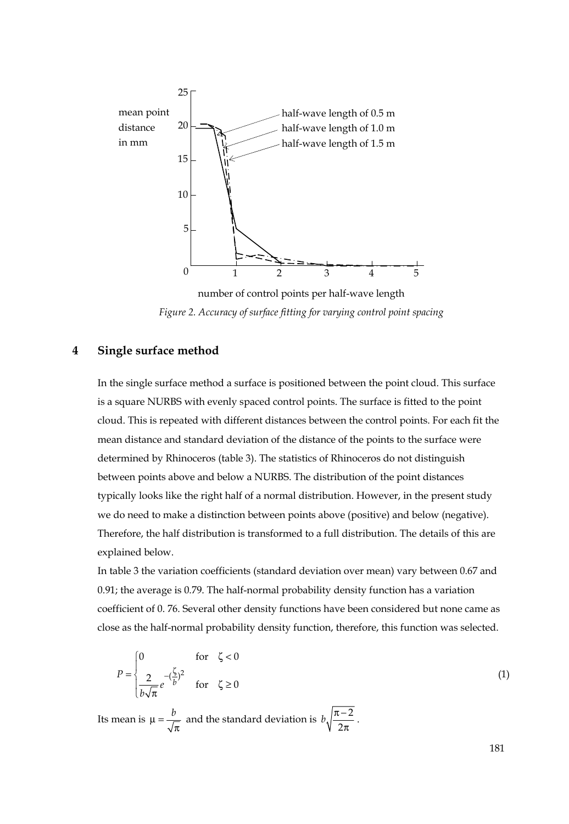

number of control points per half-wave length *Figure 2. Accuracy of surface fitting for varying control point spacing* 

#### **4 Single surface method**

In the single surface method a surface is positioned between the point cloud. This surface is a square NURBS with evenly spaced control points. The surface is fitted to the point cloud. This is repeated with different distances between the control points. For each fit the mean distance and standard deviation of the distance of the points to the surface were determined by Rhinoceros (table 3). The statistics of Rhinoceros do not distinguish between points above and below a NURBS. The distribution of the point distances typically looks like the right half of a normal distribution. However, in the present study we do need to make a distinction between points above (positive) and below (negative). Therefore, the half distribution is transformed to a full distribution. The details of this are explained below.

In table 3 the variation coefficients (standard deviation over mean) vary between 0.67 and 0.91; the average is 0.79. The half-normal probability density function has a variation coefficient of 0. 76. Several other density functions have been considered but none came as close as the half-normal probability density function, therefore, this function was selected.

$$
P = \begin{cases} 0 & \text{for } \zeta < 0 \\ \frac{2}{b\sqrt{\pi}}e^{-\left(\frac{\zeta}{b}\right)^2} & \text{for } \zeta \ge 0 \end{cases} \tag{1}
$$

Its mean is  $\mu = \frac{b}{\sqrt{\pi}}$  and the standard deviation is  $b\sqrt{\frac{\pi - 1}{2\pi}}$ 2  $b\sqrt{\frac{n}{2\pi}}$ .

181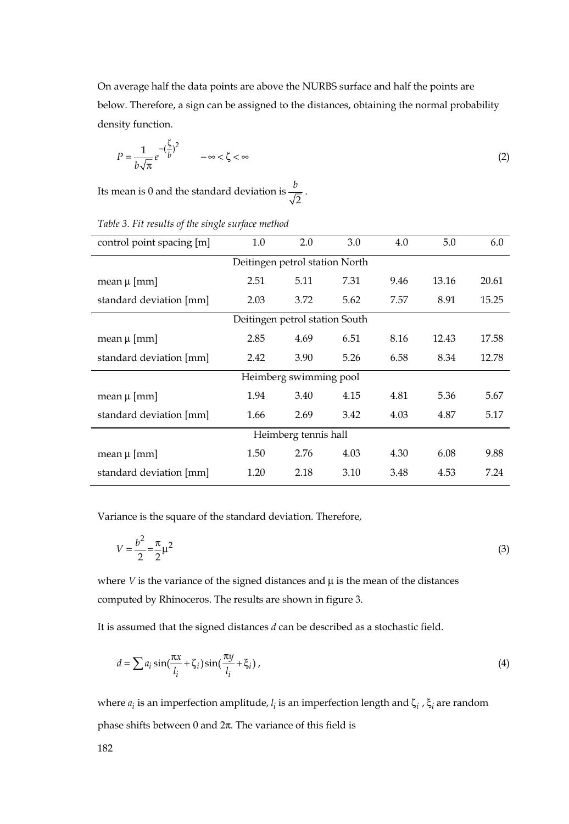On average half the data points are above the NURBS surface and half the points are below. Therefore, a sign can be assigned to the distances, obtaining the normal probability density function.

$$
P = \frac{1}{b\sqrt{\pi}}e^{-\left(\frac{\zeta}{b}\right)^2} \qquad -\infty < \zeta < \infty \tag{2}
$$

Its mean is 0 and the standard deviation is  $\frac{b}{\sqrt{2}}$ .

| control point spacing [m]      | 1.0  | 2.0  | 3.0  | 4.0  | 5.0   | 6.0   |
|--------------------------------|------|------|------|------|-------|-------|
| Deitingen petrol station North |      |      |      |      |       |       |
| mean $\mu$ [mm]                | 2.51 | 5.11 | 7.31 | 9.46 | 13.16 | 20.61 |
| standard deviation [mm]        | 2.03 | 3.72 | 5.62 | 7.57 | 8.91  | 15.25 |
| Deitingen petrol station South |      |      |      |      |       |       |
| mean $\mu$ [mm]                | 2.85 | 4.69 | 6.51 | 8.16 | 12.43 | 17.58 |
| standard deviation [mm]        | 2.42 | 3.90 | 5.26 | 6.58 | 8.34  | 12.78 |
| Heimberg swimming pool         |      |      |      |      |       |       |
| mean $\mu$ [mm]                | 1.94 | 3.40 | 4.15 | 4.81 | 5.36  | 5.67  |
| standard deviation [mm]        | 1.66 | 2.69 | 3.42 | 4.03 | 4.87  | 5.17  |
| Heimberg tennis hall           |      |      |      |      |       |       |
| mean $\mu$ [mm]                | 1.50 | 2.76 | 4.03 | 4.30 | 6.08  | 9.88  |
| standard deviation [mm]        | 1.20 | 2.18 | 3.10 | 3.48 | 4.53  | 7.24  |

*Table 3. Fit results of the single surface method*

Variance is the square of the standard deviation. Therefore,

$$
V = \frac{b^2}{2} = \frac{\pi}{2} \mu^2
$$
 (3)

where  $V$  is the variance of the signed distances and  $\mu$  is the mean of the distances computed by Rhinoceros. The results are shown in figure 3.

It is assumed that the signed distances *d* can be described as a stochastic field.

$$
d = \sum a_i \sin(\frac{\pi x}{l_i} + \zeta_i) \sin(\frac{\pi y}{l_i} + \xi_i), \qquad (4)
$$

where *<sup>i</sup> a* is an imperfection amplitude, *<sup>i</sup> l* is an imperfection length and ζ*<sup>i</sup>* , ξ*<sup>i</sup>* are random phase shifts between 0 and  $2π$ . The variance of this field is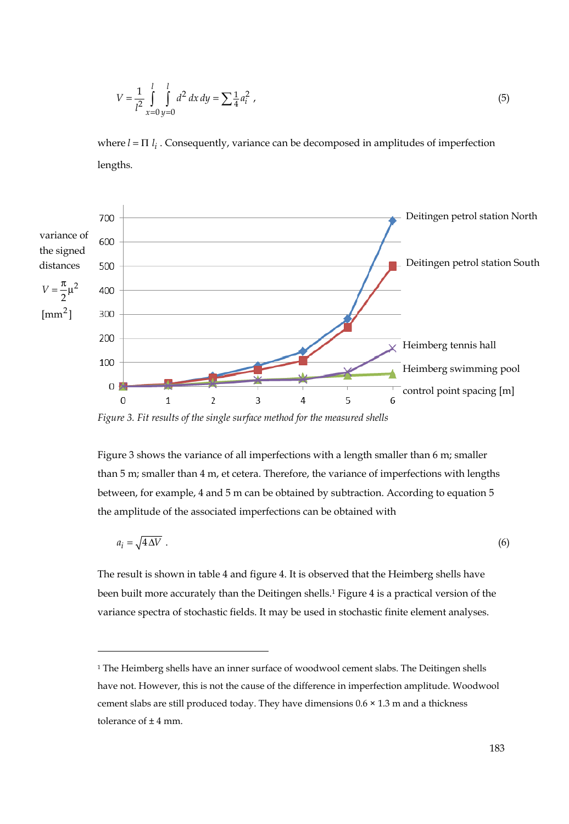$$
V = \frac{1}{l^2} \int_{x=0}^{l} \int_{y=0}^{l} d^2 \, dx \, dy = \sum_{i=1}^{l} a_i^2 \tag{5}
$$

where  $l = \Pi$  *l<sub>i</sub>*. Consequently, variance can be decomposed in amplitudes of imperfection lengths.



*Figure 3. Fit results of the single surface method for the measured shells* 

 $\overline{a}$ 

Figure 3 shows the variance of all imperfections with a length smaller than 6 m; smaller than 5 m; smaller than 4 m, et cetera. Therefore, the variance of imperfections with lengths between, for example, 4 and 5 m can be obtained by subtraction. According to equation 5 the amplitude of the associated imperfections can be obtained with

$$
a_i = \sqrt{4\,\Delta V} \tag{6}
$$

The result is shown in table 4 and figure 4. It is observed that the Heimberg shells have been built more accurately than the Deitingen shells.1 Figure 4 is a practical version of the variance spectra of stochastic fields. It may be used in stochastic finite element analyses.

<sup>&</sup>lt;sup>1</sup> The Heimberg shells have an inner surface of woodwool cement slabs. The Deitingen shells have not. However, this is not the cause of the difference in imperfection amplitude. Woodwool cement slabs are still produced today. They have dimensions 0.6 × 1.3 m and a thickness tolerance of ± 4 mm.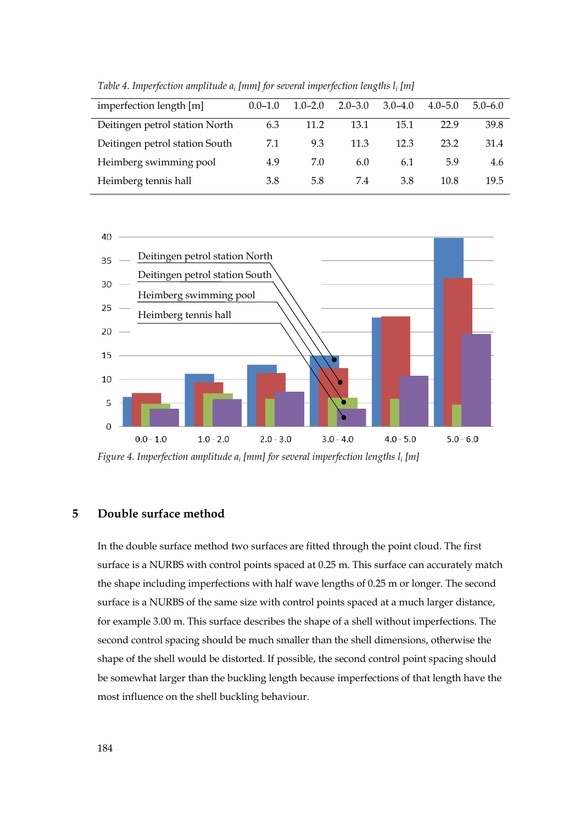| imperfection length [m]        | $0.0 - 1.0$ | $1.0 - 2.0$ | $2.0 - 3.0$ | $3.0 - 4.0$ | $4.0 - 5.0$ | $5.0 - 6.0$ |
|--------------------------------|-------------|-------------|-------------|-------------|-------------|-------------|
| Deitingen petrol station North | 6.3         | 11.2        | 13.1        | 15.1        | 22.9        | 39.8        |
| Deitingen petrol station South | 7.1         | 9.3         | 11.3        | 12.3        | 23.2        | 31.4        |
| Heimberg swimming pool         | 4.9         | 7.0         | 6.0         | 6.1         | 5.9         | 4.6         |
| Heimberg tennis hall           | 3.8         | 5.8         | 7.4         | 3.8         | 10.8        | 19.5        |
|                                |             |             |             |             |             |             |

*Table 4. Imperfection amplitude ai [mm] for several imperfection lengths li [m]* 



*Figure 4. Imperfection amplitude ai [mm] for several imperfection lengths li [m]* 

# **5 Double surface method**

In the double surface method two surfaces are fitted through the point cloud. The first surface is a NURBS with control points spaced at 0.25 m. This surface can accurately match the shape including imperfections with half wave lengths of 0.25 m or longer. The second surface is a NURBS of the same size with control points spaced at a much larger distance, for example 3.00 m. This surface describes the shape of a shell without imperfections. The second control spacing should be much smaller than the shell dimensions, otherwise the shape of the shell would be distorted. If possible, the second control point spacing should be somewhat larger than the buckling length because imperfections of that length have the most influence on the shell buckling behaviour.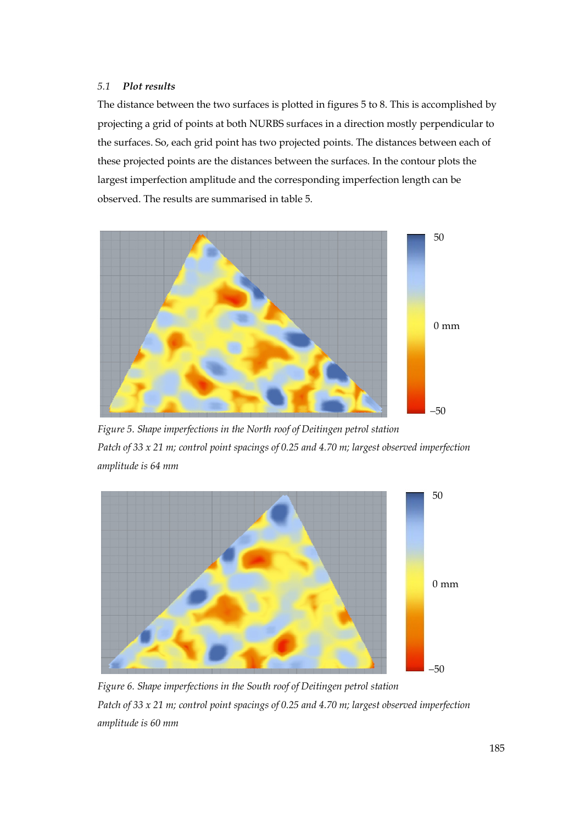#### *5.1 Plot results*

The distance between the two surfaces is plotted in figures 5 to 8. This is accomplished by projecting a grid of points at both NURBS surfaces in a direction mostly perpendicular to the surfaces. So, each grid point has two projected points. The distances between each of these projected points are the distances between the surfaces. In the contour plots the largest imperfection amplitude and the corresponding imperfection length can be observed. The results are summarised in table 5.



*Figure 5. Shape imperfections in the North roof of Deitingen petrol station Patch of 33 x 21 m; control point spacings of 0.25 and 4.70 m; largest observed imperfection amplitude is 64 mm* 



*Figure 6. Shape imperfections in the South roof of Deitingen petrol station Patch of 33 x 21 m; control point spacings of 0.25 and 4.70 m; largest observed imperfection amplitude is 60 mm*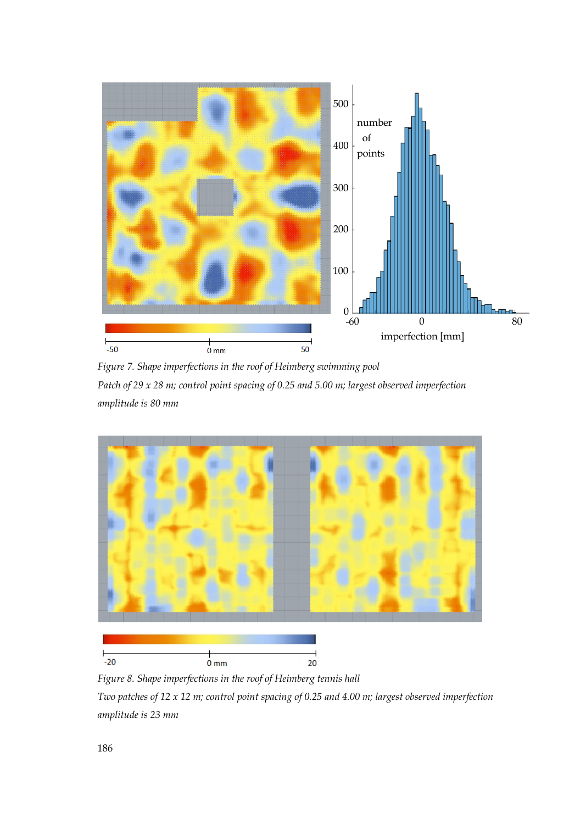

*Figure 7. Shape imperfections in the roof of Heimberg swimming pool Patch of 29 x 28 m; control point spacing of 0.25 and 5.00 m; largest observed imperfection amplitude is 80 mm* 



*Figure 8. Shape imperfections in the roof of Heimberg tennis hall* 

*Two patches of 12 x 12 m; control point spacing of 0.25 and 4.00 m; largest observed imperfection amplitude is 23 mm*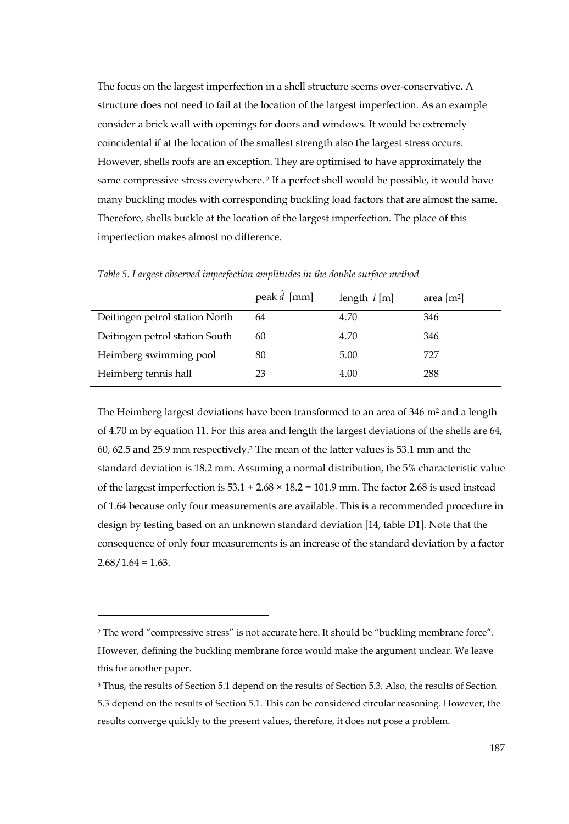The focus on the largest imperfection in a shell structure seems over-conservative. A structure does not need to fail at the location of the largest imperfection. As an example consider a brick wall with openings for doors and windows. It would be extremely coincidental if at the location of the smallest strength also the largest stress occurs. However, shells roofs are an exception. They are optimised to have approximately the same compressive stress everywhere. 2 If a perfect shell would be possible, it would have many buckling modes with corresponding buckling load factors that are almost the same. Therefore, shells buckle at the location of the largest imperfection. The place of this imperfection makes almost no difference.

|                                | peak $d$ [mm] | length $l$ [m] | area $[m^2]$ |
|--------------------------------|---------------|----------------|--------------|
| Deitingen petrol station North | 64            | 4.70           | 346          |
| Deitingen petrol station South | 60            | 4.70           | 346          |
| Heimberg swimming pool         | 80            | 5.00           | 727          |
| Heimberg tennis hall           | 23            | 4.00           | 288          |

*Table 5. Largest observed imperfection amplitudes in the double surface method* 

The Heimberg largest deviations have been transformed to an area of 346 m<sup>2</sup> and a length of 4.70 m by equation 11. For this area and length the largest deviations of the shells are 64, 60, 62.5 and 25.9 mm respectively.3 The mean of the latter values is 53.1 mm and the standard deviation is 18.2 mm. Assuming a normal distribution, the 5% characteristic value of the largest imperfection is  $53.1 + 2.68 \times 18.2 = 101.9$  mm. The factor 2.68 is used instead of 1.64 because only four measurements are available. This is a recommended procedure in design by testing based on an unknown standard deviation [14, table D1]. Note that the consequence of only four measurements is an increase of the standard deviation by a factor  $2.68/1.64 = 1.63$ .

j

<sup>2</sup> The word "compressive stress" is not accurate here. It should be "buckling membrane force". However, defining the buckling membrane force would make the argument unclear. We leave this for another paper.

<sup>3</sup> Thus, the results of Section 5.1 depend on the results of Section 5.3. Also, the results of Section 5.3 depend on the results of Section 5.1. This can be considered circular reasoning. However, the results converge quickly to the present values, therefore, it does not pose a problem.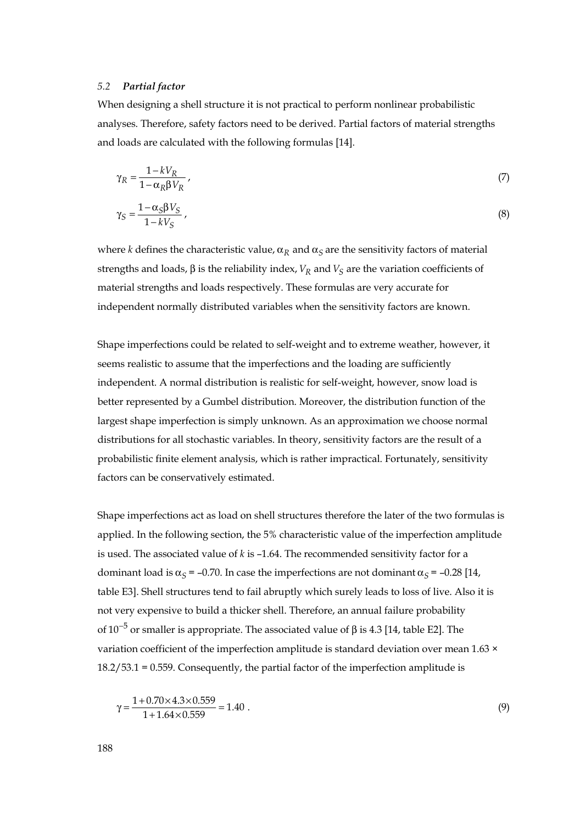#### *5.2 Partial factor*

When designing a shell structure it is not practical to perform nonlinear probabilistic analyses. Therefore, safety factors need to be derived. Partial factors of material strengths and loads are calculated with the following formulas [14].

$$
\gamma_R = \frac{1 - kV_R}{1 - \alpha_R \beta V_R},\tag{7}
$$

$$
\gamma_S = \frac{1 - \alpha_S \beta V_S}{1 - kV_S} \,,\tag{8}
$$

where *k* defines the characteristic value,  $\alpha_R$  and  $\alpha_S$  are the sensitivity factors of material strengths and loads,  $β$  is the reliability index,  $V_R$  and  $V_S$  are the variation coefficients of material strengths and loads respectively. These formulas are very accurate for independent normally distributed variables when the sensitivity factors are known.

Shape imperfections could be related to self-weight and to extreme weather, however, it seems realistic to assume that the imperfections and the loading are sufficiently independent. A normal distribution is realistic for self-weight, however, snow load is better represented by a Gumbel distribution. Moreover, the distribution function of the largest shape imperfection is simply unknown. As an approximation we choose normal distributions for all stochastic variables. In theory, sensitivity factors are the result of a probabilistic finite element analysis, which is rather impractical. Fortunately, sensitivity factors can be conservatively estimated.

Shape imperfections act as load on shell structures therefore the later of the two formulas is applied. In the following section, the 5% characteristic value of the imperfection amplitude is used. The associated value of *k* is –1.64. The recommended sensitivity factor for a dominant load is  $\alpha_s = -0.70$ . In case the imperfections are not dominant  $\alpha_s = -0.28$  [14, table E3]. Shell structures tend to fail abruptly which surely leads to loss of live. Also it is not very expensive to build a thicker shell. Therefore, an annual failure probability of  $10^{-5}$  or smaller is appropriate. The associated value of β is 4.3 [14, table E2]. The variation coefficient of the imperfection amplitude is standard deviation over mean 1.63 × 18.2/53.1 = 0.559. Consequently, the partial factor of the imperfection amplitude is

$$
\gamma = \frac{1 + 0.70 \times 4.3 \times 0.559}{1 + 1.64 \times 0.559} = 1.40
$$
 (9)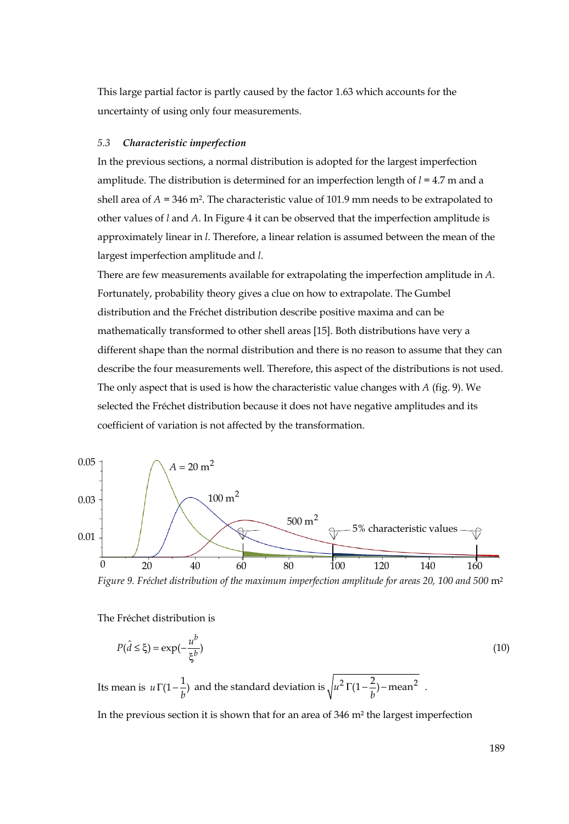This large partial factor is partly caused by the factor 1.63 which accounts for the uncertainty of using only four measurements.

#### *5.3 Characteristic imperfection*

In the previous sections, a normal distribution is adopted for the largest imperfection amplitude. The distribution is determined for an imperfection length of *l* = 4.7 m and a shell area of  $A = 346$  m<sup>2</sup>. The characteristic value of 101.9 mm needs to be extrapolated to other values of *l* and *A*. In Figure 4 it can be observed that the imperfection amplitude is approximately linear in *l*. Therefore, a linear relation is assumed between the mean of the largest imperfection amplitude and *l*.

There are few measurements available for extrapolating the imperfection amplitude in *A*. Fortunately, probability theory gives a clue on how to extrapolate. The Gumbel distribution and the Fréchet distribution describe positive maxima and can be mathematically transformed to other shell areas [15]. Both distributions have very a different shape than the normal distribution and there is no reason to assume that they can describe the four measurements well. Therefore, this aspect of the distributions is not used. The only aspect that is used is how the characteristic value changes with *A* (fig. 9). We selected the Fréchet distribution because it does not have negative amplitudes and its coefficient of variation is not affected by the transformation.



*Figure 9. Fréchet distribution of the maximum imperfection amplitude for areas 20, 100 and 500* m2

The Fréchet distribution is

$$
P(\hat{d} \le \xi) = \exp(-\frac{u^b}{\xi^b})
$$
\n(10)

Its mean is  $u \Gamma(1 - \frac{1}{b})$  and the standard deviation is  $\sqrt{u^2 \Gamma(1 - \frac{2}{b})}$  – mean<sup>2</sup>.

In the previous section it is shown that for an area of 346 m² the largest imperfection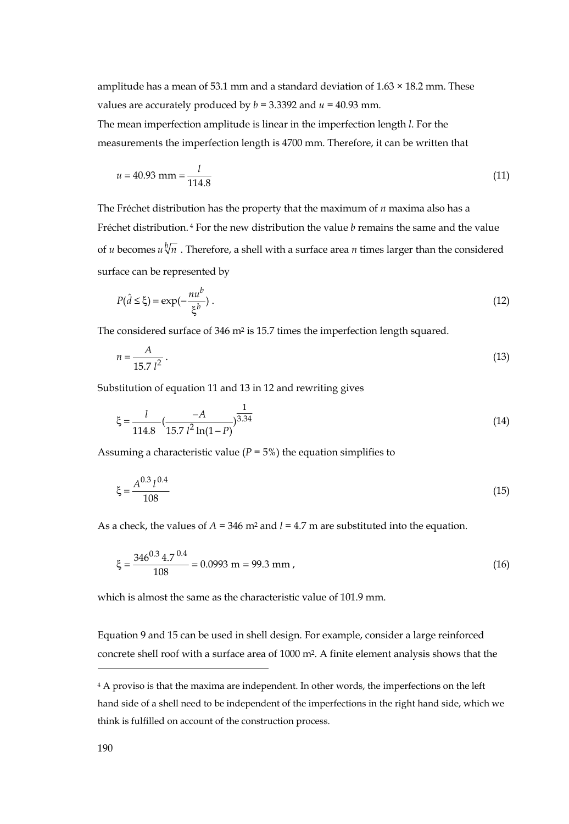amplitude has a mean of 53.1 mm and a standard deviation of  $1.63 \times 18.2$  mm. These values are accurately produced by  $b = 3.3392$  and  $u = 40.93$  mm.

The mean imperfection amplitude is linear in the imperfection length *l*. For the measurements the imperfection length is 4700 mm. Therefore, it can be written that

$$
u = 40.93 \text{ mm} = \frac{l}{114.8} \tag{11}
$$

The Fréchet distribution has the property that the maximum of *n* maxima also has a Fréchet distribution. 4 For the new distribution the value *b* remains the same and the value of *u* becomes  $u \sqrt[b]{n}$ . Therefore, a shell with a surface area *n* times larger than the considered surface can be represented by

$$
P(\hat{d} \le \xi) = \exp(-\frac{nu^b}{\xi^b}).
$$
\n(12)

The considered surface of 346 m<sup>2</sup> is 15.7 times the imperfection length squared.

$$
n = \frac{A}{15.7 l^2} \,. \tag{13}
$$

Substitution of equation 11 and 13 in 12 and rewriting gives

$$
\xi = \frac{l}{114.8} \left( \frac{-A}{15.7 l^2 \ln(1 - P)} \right)^{\frac{1}{3.34}} \tag{14}
$$

Assuming a characteristic value  $(P = 5\%)$  the equation simplifies to

$$
\xi = \frac{A^{0.3} l^{0.4}}{108} \tag{15}
$$

As a check, the values of *A* = 346 m2 and *l* = 4.7 m are substituted into the equation.

$$
\xi = \frac{346^{0.3} \, 4.7^{0.4}}{108} = 0.0993 \, \text{m} = 99.3 \, \text{mm} \,, \tag{16}
$$

which is almost the same as the characteristic value of 101.9 mm.

Equation 9 and 15 can be used in shell design. For example, consider a large reinforced concrete shell roof with a surface area of 1000 m2. A finite element analysis shows that the

j

<sup>&</sup>lt;sup>4</sup> A proviso is that the maxima are independent. In other words, the imperfections on the left hand side of a shell need to be independent of the imperfections in the right hand side, which we think is fulfilled on account of the construction process.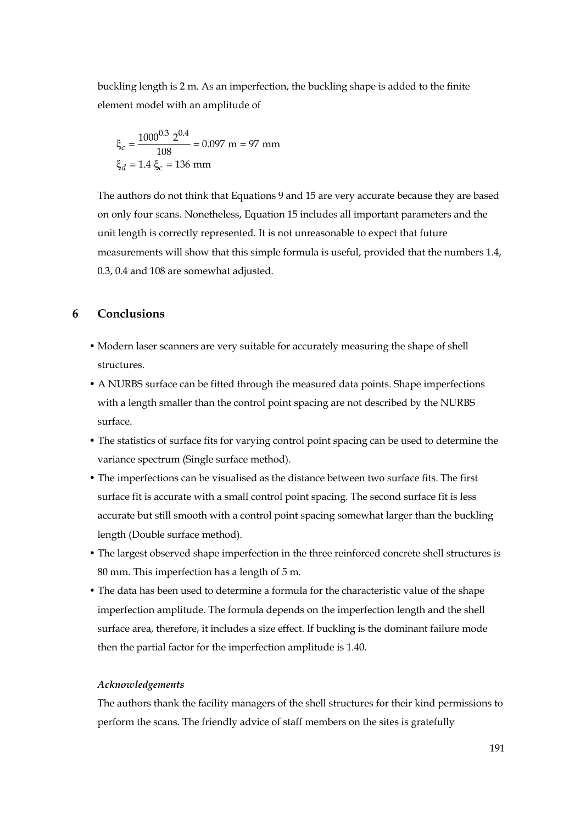buckling length is 2 m. As an imperfection, the buckling shape is added to the finite element model with an amplitude of

$$
\xi_c = \frac{1000^{0.3} \text{ 2}^{0.4}}{108} = 0.097 \text{ m} = 97 \text{ mm}
$$

$$
\xi_d = 1.4 \xi_c = 136 \text{ mm}
$$

The authors do not think that Equations 9 and 15 are very accurate because they are based on only four scans. Nonetheless, Equation 15 includes all important parameters and the unit length is correctly represented. It is not unreasonable to expect that future measurements will show that this simple formula is useful, provided that the numbers 1.4, 0.3, 0.4 and 108 are somewhat adjusted.

## **6 Conclusions**

- Modern laser scanners are very suitable for accurately measuring the shape of shell structures.
- A NURBS surface can be fitted through the measured data points. Shape imperfections with a length smaller than the control point spacing are not described by the NURBS surface.
- The statistics of surface fits for varying control point spacing can be used to determine the variance spectrum (Single surface method).
- The imperfections can be visualised as the distance between two surface fits. The first surface fit is accurate with a small control point spacing. The second surface fit is less accurate but still smooth with a control point spacing somewhat larger than the buckling length (Double surface method).
- The largest observed shape imperfection in the three reinforced concrete shell structures is 80 mm. This imperfection has a length of 5 m.
- The data has been used to determine a formula for the characteristic value of the shape imperfection amplitude. The formula depends on the imperfection length and the shell surface area, therefore, it includes a size effect. If buckling is the dominant failure mode then the partial factor for the imperfection amplitude is 1.40.

#### *Acknowledgements*

The authors thank the facility managers of the shell structures for their kind permissions to perform the scans. The friendly advice of staff members on the sites is gratefully